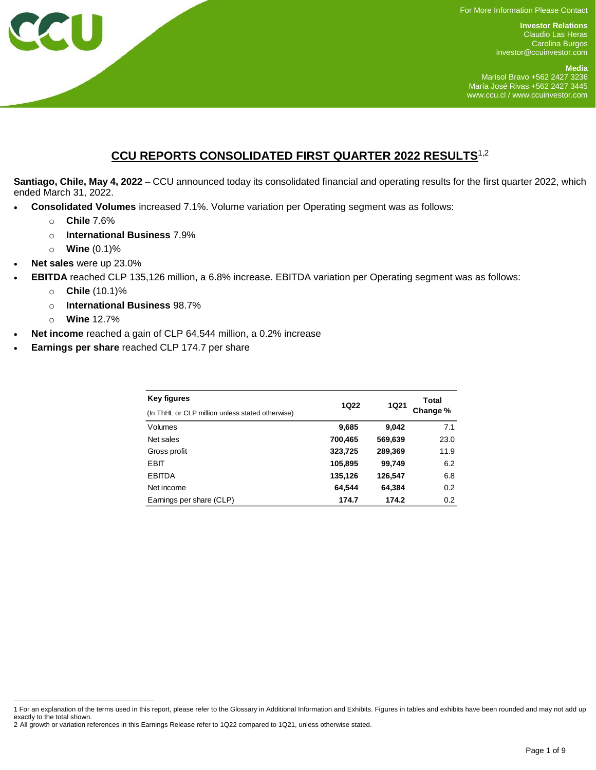For More Information Please Contact

**Investor Relations** Claudio Las Heras Carolina Burgos [investor@ccuinvestor.com](mailto:investor@ccuinvestor.com)

**Media** Marisol Bravo +562 2427 3236 María José Rivas +562 2427 3445 [www.ccu.cl](http://www.ccu.cl/) / www.ccuinvestor.com

# **CCU REPORTS CONSOLIDATED FIRST QUARTER 2022 RESULTS**1,2

**Santiago, Chile, May 4, 2022** – CCU announced today its consolidated financial and operating results for the first quarter 2022, which ended March 31, 2022.

- **Consolidated Volumes** increased 7.1%. Volume variation per Operating segment was as follows:
	- o **Chile** 7.6%
	- o **International Business** 7.9%
	- o **Wine** (0.1)%
- **Net sales** were up 23.0%
- **EBITDA** reached CLP 135,126 million, a 6.8% increase. EBITDA variation per Operating segment was as follows:
	- o **Chile** (10.1)%
	- o **International Business** 98.7%
	- o **Wine** 12.7%
- **Net income** reached a gain of CLP 64,544 million, a 0.2% increase
- **Earnings per share** reached CLP 174.7 per share

| <b>Key figures</b>                               | <b>1Q22</b> | <b>1Q21</b> | Total<br>Change % |  |
|--------------------------------------------------|-------------|-------------|-------------------|--|
| (In ThHL or CLP million unless stated otherwise) |             |             |                   |  |
| <b>Volumes</b>                                   | 9,685       | 9,042       | 7.1               |  |
| Net sales                                        | 700,465     | 569,639     | 23.0              |  |
| Gross profit                                     | 323,725     | 289,369     | 11.9              |  |
| EBIT                                             | 105,895     | 99,749      | 6.2               |  |
| <b>EBITDA</b>                                    | 135,126     | 126,547     | 6.8               |  |
| Net income                                       | 64.544      | 64.384      | 0.2               |  |
| Earnings per share (CLP)                         | 174.7       | 174.2       | 0.2               |  |

l 1 For an explanation of the terms used in this report, please refer to the Glossary in Additional Information and Exhibits. Figures in tables and exhibits have been rounded and may not add up exactly to the total shown.

<sup>2</sup> All growth or variation references in this Earnings Release refer to 1Q22 compared to 1Q21, unless otherwise stated.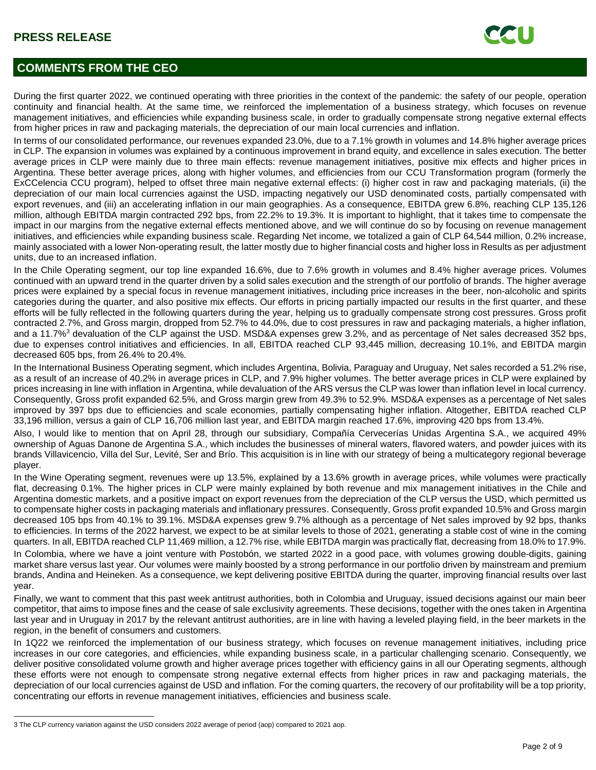

# **COMMENTS FROM THE CEO**

During the first quarter 2022, we continued operating with three priorities in the context of the pandemic: the safety of our people, operation continuity and financial health. At the same time, we reinforced the implementation of a business strategy, which focuses on revenue management initiatives, and efficiencies while expanding business scale, in order to gradually compensate strong negative external effects from higher prices in raw and packaging materials, the depreciation of our main local currencies and inflation.

In terms of our consolidated performance, our revenues expanded 23.0%, due to a 7.1% growth in volumes and 14.8% higher average prices in CLP. The expansion in volumes was explained by a continuous improvement in brand equity, and excellence in sales execution. The better average prices in CLP were mainly due to three main effects: revenue management initiatives, positive mix effects and higher prices in Argentina. These better average prices, along with higher volumes, and efficiencies from our CCU Transformation program (formerly the ExCCelencia CCU program), helped to offset three main negative external effects: (i) higher cost in raw and packaging materials, (ii) the depreciation of our main local currencies against the USD, impacting negatively our USD denominated costs, partially compensated with export revenues, and (iii) an accelerating inflation in our main geographies. As a consequence, EBITDA grew 6.8%, reaching CLP 135,126 million, although EBITDA margin contracted 292 bps, from 22.2% to 19.3%. It is important to highlight, that it takes time to compensate the impact in our margins from the negative external effects mentioned above, and we will continue do so by focusing on revenue management initiatives, and efficiencies while expanding business scale. Regarding Net income, we totalized a gain of CLP 64,544 million, 0.2% increase, mainly associated with a lower Non-operating result, the latter mostly due to higher financial costs and higher loss in Results as per adjustment units, due to an increased inflation.

In the Chile Operating segment, our top line expanded 16.6%, due to 7.6% growth in volumes and 8.4% higher average prices. Volumes continued with an upward trend in the quarter driven by a solid sales execution and the strength of our portfolio of brands. The higher average prices were explained by a special focus in revenue management initiatives, including price increases in the beer, non-alcoholic and spirits categories during the quarter, and also positive mix effects. Our efforts in pricing partially impacted our results in the first quarter, and these efforts will be fully reflected in the following quarters during the year, helping us to gradually compensate strong cost pressures. Gross profit contracted 2.7%, and Gross margin, dropped from 52.7% to 44.0%, due to cost pressures in raw and packaging materials, a higher inflation, and a 11.7%<sup>3</sup> devaluation of the CLP against the USD. MSD&A expenses grew 3.2%, and as percentage of Net sales decreased 352 bps, due to expenses control initiatives and efficiencies. In all, EBITDA reached CLP 93,445 million, decreasing 10.1%, and EBITDA margin decreased 605 bps, from 26.4% to 20.4%.

In the International Business Operating segment, which includes Argentina, Bolivia, Paraguay and Uruguay, Net sales recorded a 51.2% rise, as a result of an increase of 40.2% in average prices in CLP, and 7.9% higher volumes. The better average prices in CLP were explained by prices increasing in line with inflation in Argentina, while devaluation of the ARS versus the CLP was lower than inflation level in local currency. Consequently, Gross profit expanded 62.5%, and Gross margin grew from 49.3% to 52.9%. MSD&A expenses as a percentage of Net sales improved by 397 bps due to efficiencies and scale economies, partially compensating higher inflation. Altogether, EBITDA reached CLP 33,196 million, versus a gain of CLP 16,706 million last year, and EBITDA margin reached 17.6%, improving 420 bps from 13.4%.

Also, I would like to mention that on April 28, through our subsidiary, Compañía Cervecerías Unidas Argentina S.A., we acquired 49% ownership of Aguas Danone de Argentina S.A., which includes the businesses of mineral waters, flavored waters, and powder juices with its brands Villavicencio, Villa del Sur, Levité, Ser and Brío. This acquisition is in line with our strategy of being a multicategory regional beverage player.

In the Wine Operating segment, revenues were up 13.5%, explained by a 13.6% growth in average prices, while volumes were practically flat, decreasing 0.1%. The higher prices in CLP were mainly explained by both revenue and mix management initiatives in the Chile and Argentina domestic markets, and a positive impact on export revenues from the depreciation of the CLP versus the USD, which permitted us to compensate higher costs in packaging materials and inflationary pressures. Consequently, Gross profit expanded 10.5% and Gross margin decreased 105 bps from 40.1% to 39.1%. MSD&A expenses grew 9.7% although as a percentage of Net sales improved by 92 bps, thanks to efficiencies. In terms of the 2022 harvest, we expect to be at similar levels to those of 2021, generating a stable cost of wine in the coming quarters. In all, EBITDA reached CLP 11,469 million, a 12.7% rise, while EBITDA margin was practically flat, decreasing from 18.0% to 17.9%. In Colombia, where we have a joint venture with Postobón, we started 2022 in a good pace, with volumes growing double-digits, gaining market share versus last year. Our volumes were mainly boosted by a strong performance in our portfolio driven by mainstream and premium brands, Andina and Heineken. As a consequence, we kept delivering positive EBITDA during the quarter, improving financial results over last year.

Finally, we want to comment that this past week antitrust authorities, both in Colombia and Uruguay, issued decisions against our main beer competitor, that aims to impose fines and the cease of sale exclusivity agreements. These decisions, together with the ones taken in Argentina last year and in Uruguay in 2017 by the relevant antitrust authorities, are in line with having a leveled playing field, in the beer markets in the region, in the benefit of consumers and customers.

In 1Q22 we reinforced the implementation of our business strategy, which focuses on revenue management initiatives, including price increases in our core categories, and efficiencies, while expanding business scale, in a particular challenging scenario. Consequently, we deliver positive consolidated volume growth and higher average prices together with efficiency gains in all our Operating segments, although these efforts were not enough to compensate strong negative external effects from higher prices in raw and packaging materials, the depreciation of our local currencies against de USD and inflation. For the coming quarters, the recovery of our profitability will be a top priority, concentrating our efforts in revenue management initiatives, efficiencies and business scale.

l

<sup>3</sup> The CLP currency variation against the USD considers 2022 average of period (aop) compared to 2021 aop.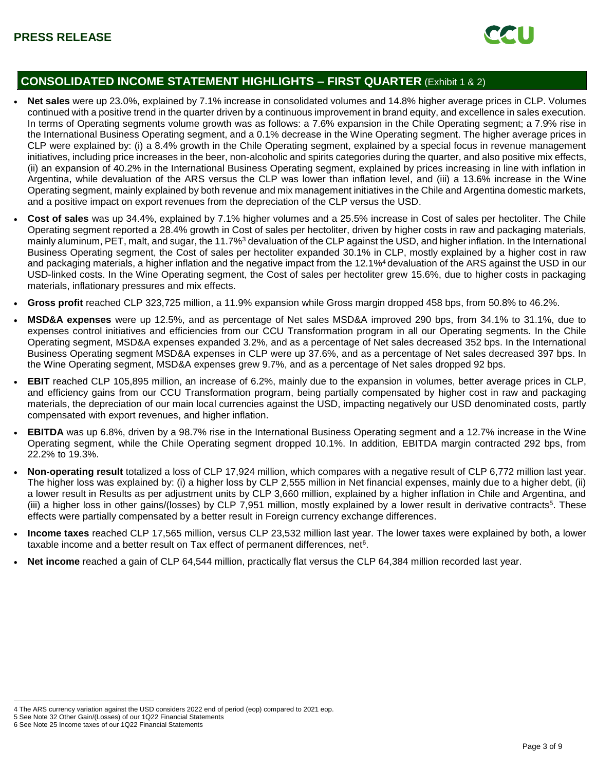

## **CONSOLIDATED INCOME STATEMENT HIGHLIGHTS – FIRST QUARTER** (Exhibit 1 & 2)

- **Net sales** were up 23.0%, explained by 7.1% increase in consolidated volumes and 14.8% higher average prices in CLP. Volumes continued with a positive trend in the quarter driven by a continuous improvement in brand equity, and excellence in sales execution. In terms of Operating segments volume growth was as follows: a 7.6% expansion in the Chile Operating segment; a 7.9% rise in the International Business Operating segment, and a 0.1% decrease in the Wine Operating segment. The higher average prices in CLP were explained by: (i) a 8.4% growth in the Chile Operating segment, explained by a special focus in revenue management initiatives, including price increases in the beer, non-alcoholic and spirits categories during the quarter, and also positive mix effects, (ii) an expansion of 40.2% in the International Business Operating segment, explained by prices increasing in line with inflation in Argentina, while devaluation of the ARS versus the CLP was lower than inflation level, and (iii) a 13.6% increase in the Wine Operating segment, mainly explained by both revenue and mix management initiatives in the Chile and Argentina domestic markets, and a positive impact on export revenues from the depreciation of the CLP versus the USD.
- **Cost of sales** was up 34.4%, explained by 7.1% higher volumes and a 25.5% increase in Cost of sales per hectoliter. The Chile Operating segment reported a 28.4% growth in Cost of sales per hectoliter, driven by higher costs in raw and packaging materials, mainly aluminum, PET, malt, and sugar, the 11.7%<sup>3</sup> devaluation of the CLP against the USD, and higher inflation. In the International Business Operating segment, the Cost of sales per hectoliter expanded 30.1% in CLP, mostly explained by a higher cost in raw and packaging materials, a higher inflation and the negative impact from the 12.1%<sup>4</sup> devaluation of the ARS against the USD in our USD-linked costs. In the Wine Operating segment, the Cost of sales per hectoliter grew 15.6%, due to higher costs in packaging materials, inflationary pressures and mix effects.
- **Gross profit** reached CLP 323,725 million, a 11.9% expansion while Gross margin dropped 458 bps, from 50.8% to 46.2%.
- **MSD&A expenses** were up 12.5%, and as percentage of Net sales MSD&A improved 290 bps, from 34.1% to 31.1%, due to expenses control initiatives and efficiencies from our CCU Transformation program in all our Operating segments. In the Chile Operating segment, MSD&A expenses expanded 3.2%, and as a percentage of Net sales decreased 352 bps. In the International Business Operating segment MSD&A expenses in CLP were up 37.6%, and as a percentage of Net sales decreased 397 bps. In the Wine Operating segment, MSD&A expenses grew 9.7%, and as a percentage of Net sales dropped 92 bps.
- **EBIT** reached CLP 105,895 million, an increase of 6.2%, mainly due to the expansion in volumes, better average prices in CLP, and efficiency gains from our CCU Transformation program, being partially compensated by higher cost in raw and packaging materials, the depreciation of our main local currencies against the USD, impacting negatively our USD denominated costs, partly compensated with export revenues, and higher inflation.
- **EBITDA** was up 6.8%, driven by a 98.7% rise in the International Business Operating segment and a 12.7% increase in the Wine Operating segment, while the Chile Operating segment dropped 10.1%. In addition, EBITDA margin contracted 292 bps, from 22.2% to 19.3%.
- **Non-operating result** totalized a loss of CLP 17,924 million, which compares with a negative result of CLP 6,772 million last year. The higher loss was explained by: (i) a higher loss by CLP 2,555 million in Net financial expenses, mainly due to a higher debt, (ii) a lower result in Results as per adjustment units by CLP 3,660 million, explained by a higher inflation in Chile and Argentina, and (iii) a higher loss in other gains/(losses) by CLP 7,951 million, mostly explained by a lower result in derivative contracts<sup>5</sup>. These effects were partially compensated by a better result in Foreign currency exchange differences.
- **Income taxes** reached CLP 17,565 million, versus CLP 23,532 million last year. The lower taxes were explained by both, a lower taxable income and a better result on Tax effect of permanent differences, net<sup>6</sup>.
- **Net income** reached a gain of CLP 64,544 million, practically flat versus the CLP 64,384 million recorded last year.

l 4 The ARS currency variation against the USD considers 2022 end of period (eop) compared to 2021 eop.

<sup>5</sup> See Note 32 Other Gain/(Losses) of our 1Q22 Financial Statements

<sup>6</sup> See Note 25 Income taxes of our 1Q22 Financial Statements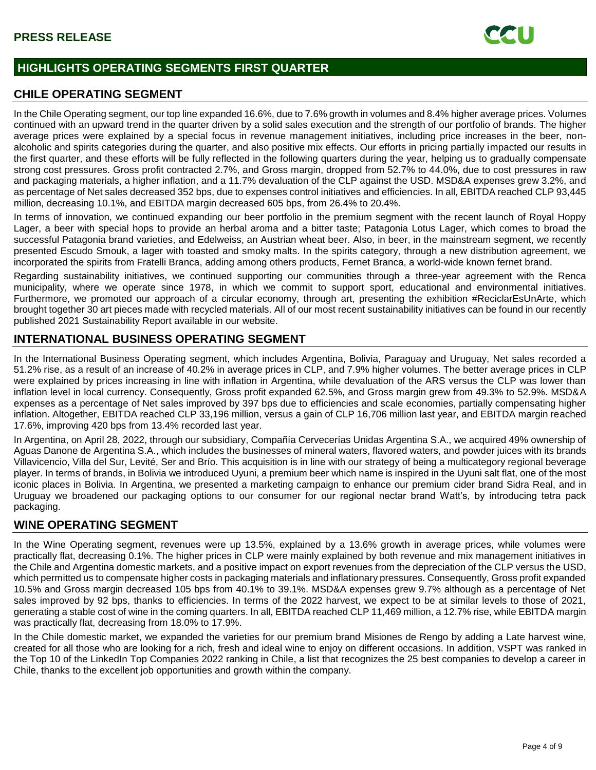

# **HIGHLIGHTS OPERATING SEGMENTS FIRST QUARTER**

## **CHILE OPERATING SEGMENT**

In the Chile Operating segment, our top line expanded 16.6%, due to 7.6% growth in volumes and 8.4% higher average prices. Volumes continued with an upward trend in the quarter driven by a solid sales execution and the strength of our portfolio of brands. The higher average prices were explained by a special focus in revenue management initiatives, including price increases in the beer, nonalcoholic and spirits categories during the quarter, and also positive mix effects. Our efforts in pricing partially impacted our results in the first quarter, and these efforts will be fully reflected in the following quarters during the year, helping us to gradually compensate strong cost pressures. Gross profit contracted 2.7%, and Gross margin, dropped from 52.7% to 44.0%, due to cost pressures in raw and packaging materials, a higher inflation, and a 11.7% devaluation of the CLP against the USD. MSD&A expenses grew 3.2%, and as percentage of Net sales decreased 352 bps, due to expenses control initiatives and efficiencies. In all, EBITDA reached CLP 93,445 million, decreasing 10.1%, and EBITDA margin decreased 605 bps, from 26.4% to 20.4%.

In terms of innovation, we continued expanding our beer portfolio in the premium segment with the recent launch of Royal Hoppy Lager, a beer with special hops to provide an herbal aroma and a bitter taste; Patagonia Lotus Lager, which comes to broad the successful Patagonia brand varieties, and Edelweiss, an Austrian wheat beer. Also, in beer, in the mainstream segment, we recently presented Escudo Smouk, a lager with toasted and smoky malts. In the spirits category, through a new distribution agreement, we incorporated the spirits from Fratelli Branca, adding among others products, Fernet Branca, a world-wide known fernet brand.

Regarding sustainability initiatives, we continued supporting our communities through a three-year agreement with the Renca municipality, where we operate since 1978, in which we commit to support sport, educational and environmental initiatives. Furthermore, we promoted our approach of a circular economy, through art, presenting the exhibition #ReciclarEsUnArte, which brought together 30 art pieces made with recycled materials. All of our most recent sustainability initiatives can be found in our recently published 2021 Sustainability Report available in our website.

# **INTERNATIONAL BUSINESS OPERATING SEGMENT**

In the International Business Operating segment, which includes Argentina, Bolivia, Paraguay and Uruguay, Net sales recorded a 51.2% rise, as a result of an increase of 40.2% in average prices in CLP, and 7.9% higher volumes. The better average prices in CLP were explained by prices increasing in line with inflation in Argentina, while devaluation of the ARS versus the CLP was lower than inflation level in local currency. Consequently, Gross profit expanded 62.5%, and Gross margin grew from 49.3% to 52.9%. MSD&A expenses as a percentage of Net sales improved by 397 bps due to efficiencies and scale economies, partially compensating higher inflation. Altogether, EBITDA reached CLP 33,196 million, versus a gain of CLP 16,706 million last year, and EBITDA margin reached 17.6%, improving 420 bps from 13.4% recorded last year.

In Argentina, on April 28, 2022, through our subsidiary, Compañía Cervecerías Unidas Argentina S.A., we acquired 49% ownership of Aguas Danone de Argentina S.A., which includes the businesses of mineral waters, flavored waters, and powder juices with its brands Villavicencio, Villa del Sur, Levité, Ser and Brío. This acquisition is in line with our strategy of being a multicategory regional beverage player. In terms of brands, in Bolivia we introduced Uyuni, a premium beer which name is inspired in the Uyuni salt flat, one of the most iconic places in Bolivia. In Argentina, we presented a marketing campaign to enhance our premium cider brand Sidra Real, and in Uruguay we broadened our packaging options to our consumer for our regional nectar brand Watt's, by introducing tetra pack packaging.

# **WINE OPERATING SEGMENT**

In the Wine Operating segment, revenues were up 13.5%, explained by a 13.6% growth in average prices, while volumes were practically flat, decreasing 0.1%. The higher prices in CLP were mainly explained by both revenue and mix management initiatives in the Chile and Argentina domestic markets, and a positive impact on export revenues from the depreciation of the CLP versus the USD, which permitted us to compensate higher costs in packaging materials and inflationary pressures. Consequently, Gross profit expanded 10.5% and Gross margin decreased 105 bps from 40.1% to 39.1%. MSD&A expenses grew 9.7% although as a percentage of Net sales improved by 92 bps, thanks to efficiencies. In terms of the 2022 harvest, we expect to be at similar levels to those of 2021, generating a stable cost of wine in the coming quarters. In all, EBITDA reached CLP 11,469 million, a 12.7% rise, while EBITDA margin was practically flat, decreasing from 18.0% to 17.9%.

In the Chile domestic market, we expanded the varieties for our premium brand Misiones de Rengo by adding a Late harvest wine, created for all those who are looking for a rich, fresh and ideal wine to enjoy on different occasions. In addition, VSPT was ranked in the Top 10 of the LinkedIn Top Companies 2022 ranking in Chile, a list that recognizes the 25 best companies to develop a career in Chile, thanks to the excellent job opportunities and growth within the company.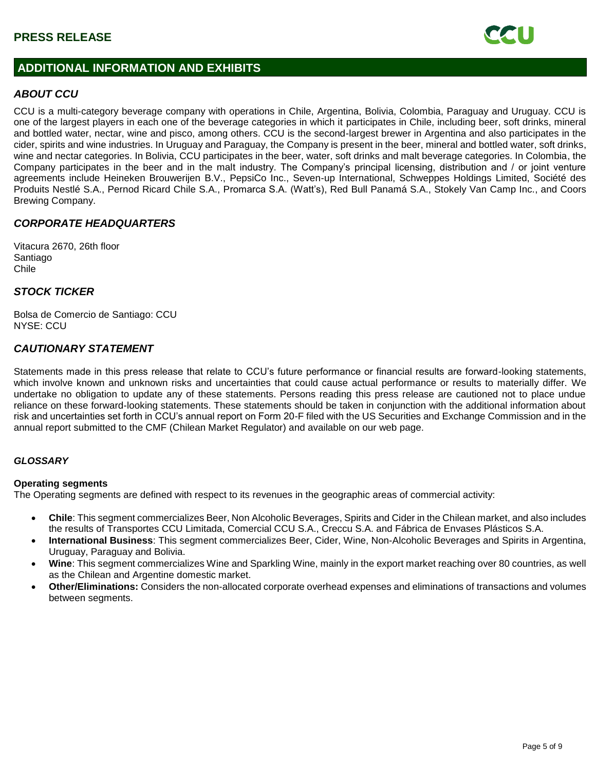

# **ADDITIONAL INFORMATION AND EXHIBITS**

## *ABOUT CCU*

CCU is a multi-category beverage company with operations in Chile, Argentina, Bolivia, Colombia, Paraguay and Uruguay. CCU is one of the largest players in each one of the beverage categories in which it participates in Chile, including beer, soft drinks, mineral and bottled water, nectar, wine and pisco, among others. CCU is the second-largest brewer in Argentina and also participates in the cider, spirits and wine industries. In Uruguay and Paraguay, the Company is present in the beer, mineral and bottled water, soft drinks, wine and nectar categories. In Bolivia, CCU participates in the beer, water, soft drinks and malt beverage categories. In Colombia, the Company participates in the beer and in the malt industry. The Company's principal licensing, distribution and / or joint venture agreements include Heineken Brouwerijen B.V., PepsiCo Inc., Seven-up International, Schweppes Holdings Limited, Société des Produits Nestlé S.A., Pernod Ricard Chile S.A., Promarca S.A. (Watt's), Red Bull Panamá S.A., Stokely Van Camp Inc., and Coors Brewing Company.

## *CORPORATE HEADQUARTERS*

Vitacura 2670, 26th floor Santiago Chile

## *STOCK TICKER*

Bolsa de Comercio de Santiago: CCU NYSE: CCU

## *CAUTIONARY STATEMENT*

Statements made in this press release that relate to CCU's future performance or financial results are forward-looking statements, which involve known and unknown risks and uncertainties that could cause actual performance or results to materially differ. We undertake no obligation to update any of these statements. Persons reading this press release are cautioned not to place undue reliance on these forward-looking statements. These statements should be taken in conjunction with the additional information about risk and uncertainties set forth in CCU's annual report on Form 20-F filed with the US Securities and Exchange Commission and in the annual report submitted to the CMF (Chilean Market Regulator) and available on our web page.

#### *GLOSSARY*

#### **Operating segments**

The Operating segments are defined with respect to its revenues in the geographic areas of commercial activity:

- **Chile**: This segment commercializes Beer, Non Alcoholic Beverages, Spirits and Cider in the Chilean market, and also includes the results of Transportes CCU Limitada, Comercial CCU S.A., Creccu S.A. and Fábrica de Envases Plásticos S.A.
- **International Business**: This segment commercializes Beer, Cider, Wine, Non-Alcoholic Beverages and Spirits in Argentina, Uruguay, Paraguay and Bolivia.
- **Wine**: This segment commercializes Wine and Sparkling Wine, mainly in the export market reaching over 80 countries, as well as the Chilean and Argentine domestic market.
- **Other/Eliminations:** Considers the non-allocated corporate overhead expenses and eliminations of transactions and volumes between segments.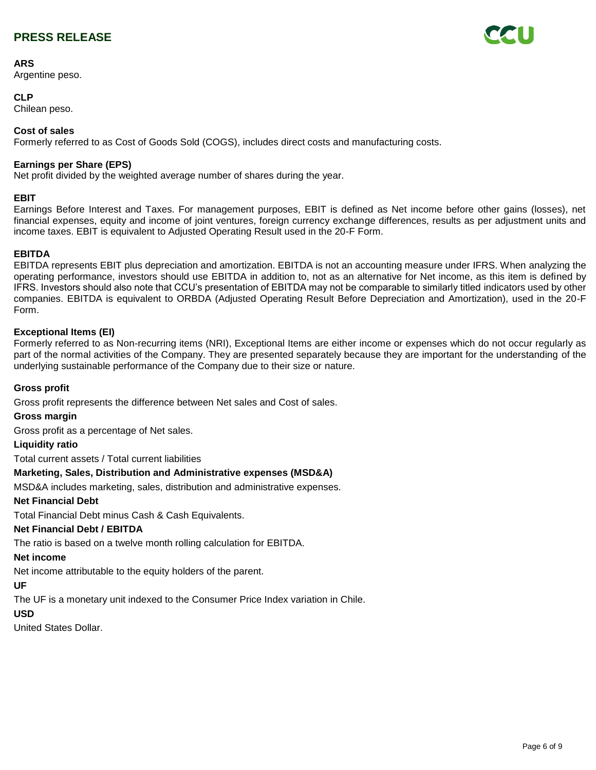### **ARS**

Argentine peso.

## **CLP**

Chilean peso.

### **Cost of sales**

Formerly referred to as Cost of Goods Sold (COGS), includes direct costs and manufacturing costs.

### **Earnings per Share (EPS)**

Net profit divided by the weighted average number of shares during the year.

#### **EBIT**

Earnings Before Interest and Taxes. For management purposes, EBIT is defined as Net income before other gains (losses), net financial expenses, equity and income of joint ventures, foreign currency exchange differences, results as per adjustment units and income taxes. EBIT is equivalent to Adjusted Operating Result used in the 20-F Form.

### **EBITDA**

EBITDA represents EBIT plus depreciation and amortization. EBITDA is not an accounting measure under IFRS. When analyzing the operating performance, investors should use EBITDA in addition to, not as an alternative for Net income, as this item is defined by IFRS. Investors should also note that CCU's presentation of EBITDA may not be comparable to similarly titled indicators used by other companies. EBITDA is equivalent to ORBDA (Adjusted Operating Result Before Depreciation and Amortization), used in the 20-F Form.

#### **Exceptional Items (EI)**

Formerly referred to as Non-recurring items (NRI), Exceptional Items are either income or expenses which do not occur regularly as part of the normal activities of the Company. They are presented separately because they are important for the understanding of the underlying sustainable performance of the Company due to their size or nature.

### **Gross profit**

Gross profit represents the difference between Net sales and Cost of sales.

#### **Gross margin**

Gross profit as a percentage of Net sales.

#### **Liquidity ratio**

Total current assets / Total current liabilities

### **Marketing, Sales, Distribution and Administrative expenses (MSD&A)**

MSD&A includes marketing, sales, distribution and administrative expenses.

#### **Net Financial Debt**

Total Financial Debt minus Cash & Cash Equivalents.

#### **Net Financial Debt / EBITDA**

The ratio is based on a twelve month rolling calculation for EBITDA.

#### **Net income**

Net income attributable to the equity holders of the parent.

### **UF**

The UF is a monetary unit indexed to the Consumer Price Index variation in Chile.

#### **USD**

United States Dollar.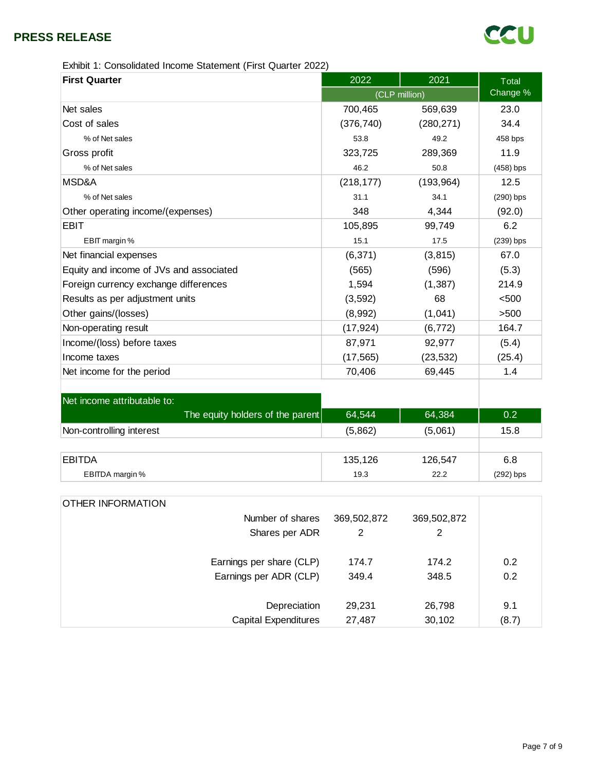

Exhibit 1: Consolidated Income Statement (First Quarter 2022)

| <b>First Quarter</b>                    | 2022       | 2021          | <b>Total</b> |  |  |
|-----------------------------------------|------------|---------------|--------------|--|--|
|                                         |            | (CLP million) |              |  |  |
| Net sales                               | 700,465    | 569,639       | 23.0         |  |  |
| Cost of sales                           | (376, 740) | (280, 271)    | 34.4         |  |  |
| % of Net sales                          | 53.8       | 49.2          | 458 bps      |  |  |
| Gross profit                            | 323,725    | 289,369       | 11.9         |  |  |
| % of Net sales                          | 46.2       | 50.8          | $(458)$ bps  |  |  |
| MSD&A                                   | (218, 177) | (193, 964)    | 12.5         |  |  |
| % of Net sales                          | 31.1       | 34.1          | $(290)$ bps  |  |  |
| Other operating income/(expenses)       | 348        | 4,344         | (92.0)       |  |  |
| EBIT                                    | 105,895    | 99,749        | 6.2          |  |  |
| EBIT margin %                           | 15.1       | 17.5          | $(239)$ bps  |  |  |
| Net financial expenses                  | (6, 371)   | (3, 815)      | 67.0         |  |  |
| Equity and income of JVs and associated | (565)      | (596)         | (5.3)        |  |  |
| Foreign currency exchange differences   | 1,594      | (1, 387)      | 214.9        |  |  |
| Results as per adjustment units         | (3, 592)   | 68            | < 500        |  |  |
| Other gains/(losses)                    | (8,992)    | (1,041)       | >500         |  |  |
| Non-operating result                    | (17, 924)  | (6, 772)      | 164.7        |  |  |
| Income/(loss) before taxes              | 87,971     | 92,977        | (5.4)        |  |  |
| Income taxes                            | (17, 565)  | (23, 532)     | (25.4)       |  |  |
| Net income for the period               | 70,406     | 69,445        | 1.4          |  |  |
|                                         |            |               |              |  |  |

| Net income attributable to:      |         |         |             |
|----------------------------------|---------|---------|-------------|
| The equity holders of the parent | 64,544  | 64,384  | 0.2         |
| Non-controlling interest         | (5,862) | (5,061) | 15.8        |
|                                  |         |         |             |
| EBITDA                           | 135,126 | 126,547 | 6.8         |
| EBITDA margin %                  | 19.3    | 22.2    | $(292)$ bps |

| <b>OTHER INFORMATION</b> |                             |             |             |       |
|--------------------------|-----------------------------|-------------|-------------|-------|
|                          | Number of shares            | 369,502,872 | 369,502,872 |       |
|                          | Shares per ADR              | 2           | 2           |       |
|                          | Earnings per share (CLP)    | 174.7       | 174.2       | 0.2   |
|                          | Earnings per ADR (CLP)      | 349.4       | 348.5       | 0.2   |
|                          |                             |             |             |       |
|                          | Depreciation                | 29,231      | 26,798      | 9.1   |
|                          | <b>Capital Expenditures</b> | 27,487      | 30,102      | (8.7) |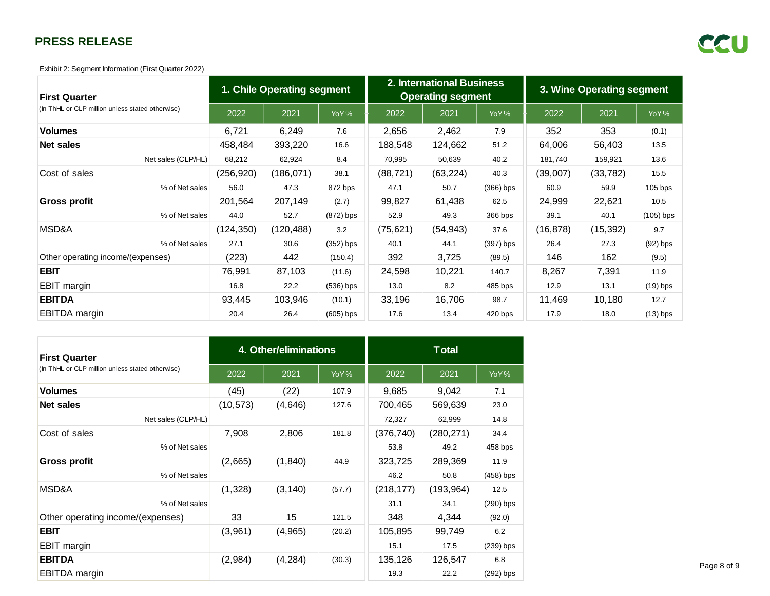Exhibit 2: Segment Information (First Quarter 2022)

| <b>First Quarter</b>                             | 1. Chile Operating segment |            |             | 2. International Business<br><b>Operating segment</b> |           |             | 3. Wine Operating segment |           |             |
|--------------------------------------------------|----------------------------|------------|-------------|-------------------------------------------------------|-----------|-------------|---------------------------|-----------|-------------|
| (In ThHL or CLP million unless stated otherwise) | 2022                       | 2021       | YoY%        | 2022                                                  | 2021      | YoY%        | 2022                      | 2021      | YoY%        |
| <b>Volumes</b>                                   | 6,721                      | 6,249      | 7.6         | 2,656                                                 | 2,462     | 7.9         | 352                       | 353       | (0.1)       |
| <b>Net sales</b>                                 | 458,484                    | 393,220    | 16.6        | 188,548                                               | 124,662   | 51.2        | 64,006                    | 56,403    | 13.5        |
| Net sales (CLP/HL)                               | 68,212                     | 62,924     | 8.4         | 70,995                                                | 50,639    | 40.2        | 181,740                   | 159,921   | 13.6        |
| Cost of sales                                    | (256, 920)                 | (186, 071) | 38.1        | (88, 721)                                             | (63, 224) | 40.3        | (39,007)                  | (33, 782) | 15.5        |
| % of Net sales                                   | 56.0                       | 47.3       | 872 bps     | 47.1                                                  | 50.7      | $(366)$ bps | 60.9                      | 59.9      | $105$ bps   |
| Gross profit                                     | 201,564                    | 207,149    | (2.7)       | 99,827                                                | 61,438    | 62.5        | 24,999                    | 22,621    | 10.5        |
| % of Net sales                                   | 44.0                       | 52.7       | $(872)$ bps | 52.9                                                  | 49.3      | 366 bps     | 39.1                      | 40.1      | $(105)$ bps |
| MSD&A                                            | (124, 350)                 | (120, 488) | 3.2         | (75, 621)                                             | (54, 943) | 37.6        | (16, 878)                 | (15, 392) | 9.7         |
| % of Net sales                                   | 27.1                       | 30.6       | $(352)$ bps | 40.1                                                  | 44.1      | $(397)$ bps | 26.4                      | 27.3      | $(92)$ bps  |
| Other operating income/(expenses)                | (223)                      | 442        | (150.4)     | 392                                                   | 3,725     | (89.5)      | 146                       | 162       | (9.5)       |
| <b>EBIT</b>                                      | 76,991                     | 87,103     | (11.6)      | 24,598                                                | 10,221    | 140.7       | 8,267                     | 7,391     | 11.9        |
| EBIT margin                                      | 16.8                       | 22.2       | $(536)$ bps | 13.0                                                  | 8.2       | 485 bps     | 12.9                      | 13.1      | $(19)$ bps  |
| <b>EBITDA</b>                                    | 93,445                     | 103,946    | (10.1)      | 33,196                                                | 16,706    | 98.7        | 11,469                    | 10,180    | 12.7        |
| <b>EBITDA</b> margin                             | 20.4                       | 26.4       | $(605)$ bps | 17.6                                                  | 13.4      | 420 bps     | 17.9                      | 18.0      | $(13)$ bps  |

| <b>First Quarter</b>                             |           | 4. Other/eliminations |        | <b>Total</b> |            |             |
|--------------------------------------------------|-----------|-----------------------|--------|--------------|------------|-------------|
| (In ThHL or CLP million unless stated otherwise) | 2022      | 2021                  | YoY%   | 2022         | 2021       | YoY%        |
| <b>Volumes</b>                                   | (45)      | (22)                  | 107.9  | 9,685        | 9,042      | 7.1         |
| Net sales                                        | (10, 573) | (4,646)               | 127.6  | 700,465      | 569,639    | 23.0        |
| Net sales (CLP/HL)                               |           |                       |        | 72,327       | 62,999     | 14.8        |
| Cost of sales                                    | 7,908     | 2,806                 | 181.8  | (376, 740)   | (280, 271) | 34.4        |
| % of Net sales                                   |           |                       |        | 53.8         | 49.2       | 458 bps     |
| <b>Gross profit</b>                              | (2,665)   | (1, 840)              | 44.9   | 323,725      | 289,369    | 11.9        |
| % of Net sales                                   |           |                       |        | 46.2         | 50.8       | $(458)$ bps |
| MSD&A                                            | (1,328)   | (3, 140)              | (57.7) | (218, 177)   | (193, 964) | 12.5        |
| % of Net sales                                   |           |                       |        | 31.1         | 34.1       | (290) bps   |
| Other operating income/(expenses)                | 33        | 15                    | 121.5  | 348          | 4,344      | (92.0)      |
| <b>EBIT</b>                                      | (3,961)   | (4,965)               | (20.2) | 105,895      | 99,749     | 6.2         |
| <b>EBIT</b> margin                               |           |                       |        | 15.1         | 17.5       | $(239)$ bps |
| <b>EBITDA</b>                                    | (2,984)   | (4, 284)              | (30.3) | 135,126      | 126,547    | 6.8         |
| <b>EBITDA</b> margin                             |           |                       |        | 19.3         | 22.2       | $(292)$ bps |